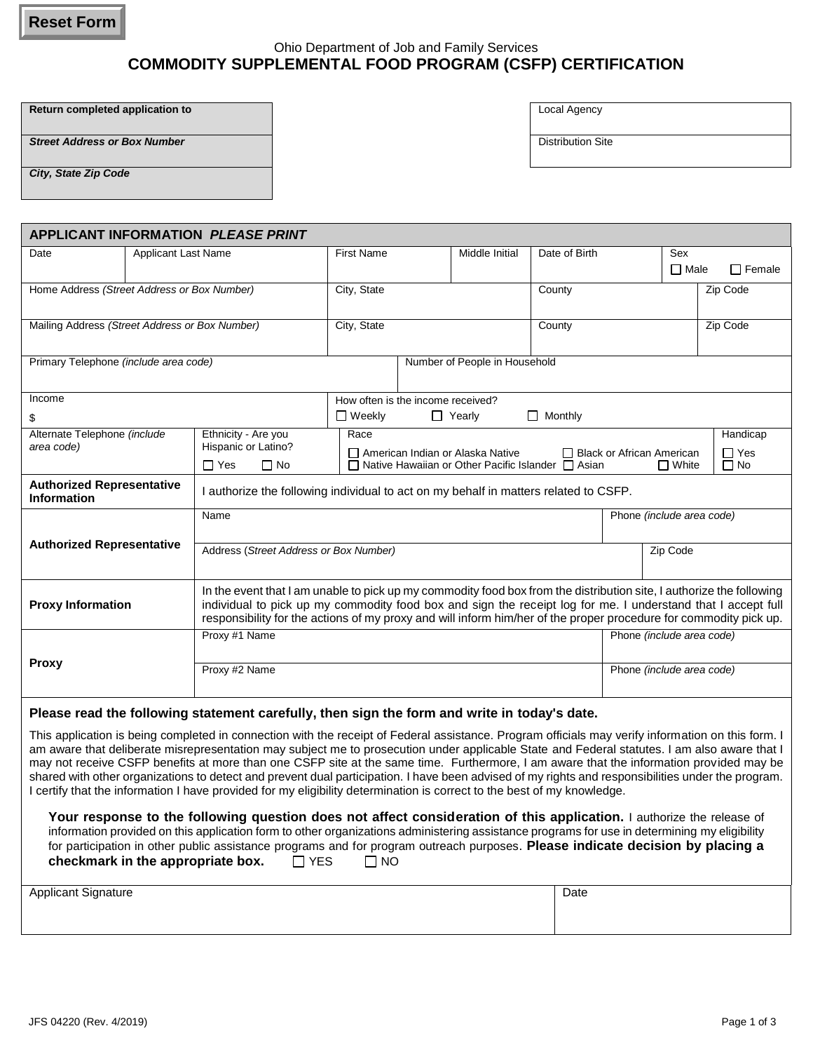**Reset Form**

# Ohio Department of Job and Family Services **COMMODITY SUPPLEMENTAL FOOD PROGRAM (CSFP) CERTIFICATION**

**Return completed application to COLOCAL Agency** 

**Street Address or Box Number Distribution Site** 

*City, State Zip Code*

| <b>APPLICANT INFORMATION PLEASE PRINT</b>                                                                                                                                                                                                                                               |                            |                                                                                                                                                                                                                                                                       |                                   |  |                                                               |                |                             |                           |               |  |
|-----------------------------------------------------------------------------------------------------------------------------------------------------------------------------------------------------------------------------------------------------------------------------------------|----------------------------|-----------------------------------------------------------------------------------------------------------------------------------------------------------------------------------------------------------------------------------------------------------------------|-----------------------------------|--|---------------------------------------------------------------|----------------|-----------------------------|---------------------------|---------------|--|
| Date                                                                                                                                                                                                                                                                                    | <b>Applicant Last Name</b> |                                                                                                                                                                                                                                                                       | <b>First Name</b>                 |  | Middle Initial                                                | Date of Birth  |                             | Sex                       |               |  |
|                                                                                                                                                                                                                                                                                         |                            |                                                                                                                                                                                                                                                                       |                                   |  |                                                               |                |                             | $\Box$ Male               | $\Box$ Female |  |
| Home Address (Street Address or Box Number)                                                                                                                                                                                                                                             |                            |                                                                                                                                                                                                                                                                       | City, State                       |  |                                                               | County         |                             |                           | Zip Code      |  |
|                                                                                                                                                                                                                                                                                         |                            |                                                                                                                                                                                                                                                                       |                                   |  |                                                               |                |                             |                           |               |  |
|                                                                                                                                                                                                                                                                                         |                            |                                                                                                                                                                                                                                                                       | City, State                       |  |                                                               | County         |                             |                           | Zip Code      |  |
| Mailing Address (Street Address or Box Number)                                                                                                                                                                                                                                          |                            |                                                                                                                                                                                                                                                                       |                                   |  |                                                               |                |                             |                           |               |  |
| Primary Telephone (include area code)                                                                                                                                                                                                                                                   |                            |                                                                                                                                                                                                                                                                       | Number of People in Household     |  |                                                               |                |                             |                           |               |  |
|                                                                                                                                                                                                                                                                                         |                            |                                                                                                                                                                                                                                                                       |                                   |  |                                                               |                |                             |                           |               |  |
|                                                                                                                                                                                                                                                                                         |                            |                                                                                                                                                                                                                                                                       |                                   |  |                                                               |                |                             |                           |               |  |
| Income                                                                                                                                                                                                                                                                                  |                            |                                                                                                                                                                                                                                                                       | How often is the income received? |  |                                                               |                |                             |                           |               |  |
| \$                                                                                                                                                                                                                                                                                      |                            |                                                                                                                                                                                                                                                                       | $\Box$ Weekly                     |  | $\Box$ Yearly                                                 | $\Box$ Monthly |                             |                           |               |  |
| Alternate Telephone (include                                                                                                                                                                                                                                                            |                            | Ethnicity - Are you<br>Hispanic or Latino?                                                                                                                                                                                                                            | Race                              |  |                                                               |                |                             |                           | Handicap      |  |
| area code)                                                                                                                                                                                                                                                                              |                            |                                                                                                                                                                                                                                                                       |                                   |  | American Indian or Alaska Native                              |                | □ Black or African American |                           | $\Box$ Yes    |  |
|                                                                                                                                                                                                                                                                                         |                            | $\Box$ No<br>$\Box$ Yes                                                                                                                                                                                                                                               |                                   |  | $\Box$ Native Hawaiian or Other Pacific Islander $\Box$ Asian |                |                             | $\Box$ White              | $\Box$ No     |  |
| <b>Authorized Representative</b><br><b>Information</b>                                                                                                                                                                                                                                  |                            | I authorize the following individual to act on my behalf in matters related to CSFP.                                                                                                                                                                                  |                                   |  |                                                               |                |                             |                           |               |  |
|                                                                                                                                                                                                                                                                                         |                            | Name                                                                                                                                                                                                                                                                  |                                   |  |                                                               |                |                             | Phone (include area code) |               |  |
|                                                                                                                                                                                                                                                                                         |                            |                                                                                                                                                                                                                                                                       |                                   |  |                                                               |                |                             |                           |               |  |
| <b>Authorized Representative</b>                                                                                                                                                                                                                                                        |                            | Address (Street Address or Box Number)                                                                                                                                                                                                                                |                                   |  |                                                               |                | Zip Code                    |                           |               |  |
|                                                                                                                                                                                                                                                                                         |                            |                                                                                                                                                                                                                                                                       |                                   |  |                                                               |                |                             |                           |               |  |
| <b>Proxy Information</b>                                                                                                                                                                                                                                                                |                            | In the event that I am unable to pick up my commodity food box from the distribution site, I authorize the following                                                                                                                                                  |                                   |  |                                                               |                |                             |                           |               |  |
|                                                                                                                                                                                                                                                                                         |                            | individual to pick up my commodity food box and sign the receipt log for me. I understand that I accept full                                                                                                                                                          |                                   |  |                                                               |                |                             |                           |               |  |
|                                                                                                                                                                                                                                                                                         |                            | responsibility for the actions of my proxy and will inform him/her of the proper procedure for commodity pick up.                                                                                                                                                     |                                   |  |                                                               |                |                             |                           |               |  |
|                                                                                                                                                                                                                                                                                         |                            | Proxy #1 Name                                                                                                                                                                                                                                                         |                                   |  |                                                               |                | Phone (include area code)   |                           |               |  |
| <b>Proxy</b>                                                                                                                                                                                                                                                                            |                            |                                                                                                                                                                                                                                                                       |                                   |  |                                                               |                |                             |                           |               |  |
|                                                                                                                                                                                                                                                                                         |                            | Proxy #2 Name                                                                                                                                                                                                                                                         |                                   |  |                                                               |                | Phone (include area code)   |                           |               |  |
|                                                                                                                                                                                                                                                                                         |                            |                                                                                                                                                                                                                                                                       |                                   |  |                                                               |                |                             |                           |               |  |
|                                                                                                                                                                                                                                                                                         |                            | Please read the following statement carefully, then sign the form and write in today's date.                                                                                                                                                                          |                                   |  |                                                               |                |                             |                           |               |  |
|                                                                                                                                                                                                                                                                                         |                            |                                                                                                                                                                                                                                                                       |                                   |  |                                                               |                |                             |                           |               |  |
| This application is being completed in connection with the receipt of Federal assistance. Program officials may verify information on this form. I                                                                                                                                      |                            |                                                                                                                                                                                                                                                                       |                                   |  |                                                               |                |                             |                           |               |  |
| am aware that deliberate misrepresentation may subject me to prosecution under applicable State and Federal statutes. I am also aware that I<br>may not receive CSFP benefits at more than one CSFP site at the same time. Furthermore, I am aware that the information provided may be |                            |                                                                                                                                                                                                                                                                       |                                   |  |                                                               |                |                             |                           |               |  |
| shared with other organizations to detect and prevent dual participation. I have been advised of my rights and responsibilities under the program.                                                                                                                                      |                            |                                                                                                                                                                                                                                                                       |                                   |  |                                                               |                |                             |                           |               |  |
|                                                                                                                                                                                                                                                                                         |                            | I certify that the information I have provided for my eligibility determination is correct to the best of my knowledge.                                                                                                                                               |                                   |  |                                                               |                |                             |                           |               |  |
|                                                                                                                                                                                                                                                                                         |                            |                                                                                                                                                                                                                                                                       |                                   |  |                                                               |                |                             |                           |               |  |
|                                                                                                                                                                                                                                                                                         |                            | Your response to the following question does not affect consideration of this application. I authorize the release of<br>information provided on this application form to other organizations administering assistance programs for use in determining my eligibility |                                   |  |                                                               |                |                             |                           |               |  |
|                                                                                                                                                                                                                                                                                         |                            |                                                                                                                                                                                                                                                                       |                                   |  |                                                               |                |                             |                           |               |  |

| Applicant Signature | Date |
|---------------------|------|
|                     |      |
|                     |      |

for participation in other public assistance programs and for program outreach purposes. **Please indicate decision by placing a** 

**checkmark in the appropriate box.** □ YES □ NO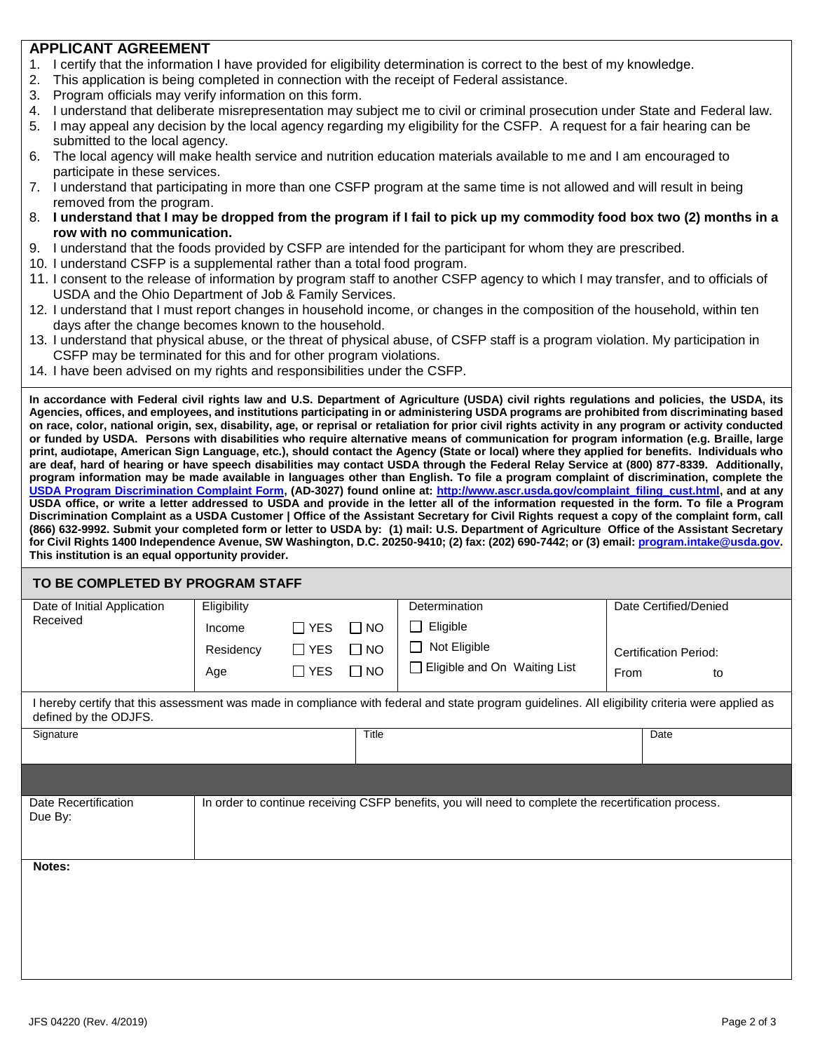### **APPLICANT AGREEMENT**

- 1. I certify that the information I have provided for eligibility determination is correct to the best of my knowledge.
- 2. This application is being completed in connection with the receipt of Federal assistance.
- 3. Program officials may verify information on this form.
- 4. I understand that deliberate misrepresentation may subject me to civil or criminal prosecution under State and Federal law.
- 5. I may appeal any decision by the local agency regarding my eligibility for the CSFP. A request for a fair hearing can be submitted to the local agency.
- 6. The local agency will make health service and nutrition education materials available to me and I am encouraged to participate in these services.
- 7. I understand that participating in more than one CSFP program at the same time is not allowed and will result in being removed from the program.
- 8. **I understand that I may be dropped from the program if I fail to pick up my commodity food box two (2) months in a row with no communication.**
- 9. I understand that the foods provided by CSFP are intended for the participant for whom they are prescribed.
- 10. I understand CSFP is a supplemental rather than a total food program.
- 11. I consent to the release of information by program staff to another CSFP agency to which I may transfer, and to officials of USDA and the Ohio Department of Job & Family Services.
- 12. I understand that I must report changes in household income, or changes in the composition of the household, within ten days after the change becomes known to the household.
- 13. I understand that physical abuse, or the threat of physical abuse, of CSFP staff is a program violation. My participation in CSFP may be terminated for this and for other program violations.
- 14. I have been advised on my rights and responsibilities under the CSFP.

**In accordance with Federal civil rights law and U.S. Department of Agriculture (USDA) civil rights regulations and policies, the USDA, its Agencies, offices, and employees, and institutions participating in or administering USDA programs are prohibited from discriminating based on race, color, national origin, sex, disability, age, or reprisal or retaliation for prior civil rights activity in any program or activity conducted or funded by USDA. Persons with disabilities who require alternative means of communication for program information (e.g. Braille, large print, audiotape, American Sign Language, etc.), should contact the Agency (State or local) where they applied for benefits. Individuals who are deaf, hard of hearing or have speech disabilities may contact USDA through the Federal Relay Service at (800) 877-8339. Additionally, program information may be made available in languages other than English. To file a program complaint of discrimination, complete the [USDA Program Discrimination Complaint Form,](http://www.ocio.usda.gov/sites/default/files/docs/2012/Complain_combined_6_8_12.pdf) (AD-3027) found online at: [http://www.ascr.usda.gov/complaint\\_filing\\_cust.html,](http://www.ascr.usda.gov/complaint_filing_cust.html) and at any USDA office, or write a letter addressed to USDA and provide in the letter all of the information requested in the form. To file a Program Discrimination Complaint as a USDA Customer | Office of the Assistant Secretary for Civil Rights request a copy of the complaint form, call (866) 632-9992. Submit your completed form or letter to USDA by: (1) mail: U.S. Department of Agriculture Office of the Assistant Secretary for Civil Rights 1400 Independence Avenue, SW Washington, D.C. 20250-9410; (2) fax: (202) 690-7442; or (3) email[: program.intake@usda.gov.](file:///C:/Users/SURGEJ01/AppData/Local/Microsoft/Windows/Temporary%20Internet%20Files/Content.IE5/AppData/Local/Microsoft/Windows/Temporary%20Internet%20Files/Content.IE5/8ENPO1XB/program.intake@usda.gov) This institution is an equal opportunity provider.**

#### **TO BE COMPLETED BY PROGRAM STAFF**

| Date of Initial Application                                                                                                                                               | Eligibility |            |           | Determination                                                                                        |                              | Date Certified/Denied |  |  |  |
|---------------------------------------------------------------------------------------------------------------------------------------------------------------------------|-------------|------------|-----------|------------------------------------------------------------------------------------------------------|------------------------------|-----------------------|--|--|--|
| Received                                                                                                                                                                  | Income      | $\Box$ YES | $\Box$ NO | Eligible<br>$\Box$                                                                                   |                              |                       |  |  |  |
|                                                                                                                                                                           | Residency   | $\Box$ YES | $\Box$ NO | Not Eligible                                                                                         | <b>Certification Period:</b> |                       |  |  |  |
|                                                                                                                                                                           | Age         | $\Box$ YES | $\Box$ NO | □ Eligible and On Waiting List                                                                       | From<br>to                   |                       |  |  |  |
| I hereby certify that this assessment was made in compliance with federal and state program guidelines. All eligibility criteria were applied as<br>defined by the ODJFS. |             |            |           |                                                                                                      |                              |                       |  |  |  |
| Signature                                                                                                                                                                 |             |            | Title     |                                                                                                      |                              | Date                  |  |  |  |
|                                                                                                                                                                           |             |            |           |                                                                                                      |                              |                       |  |  |  |
| Date Recertification<br>Due By:                                                                                                                                           |             |            |           | In order to continue receiving CSFP benefits, you will need to complete the recertification process. |                              |                       |  |  |  |
|                                                                                                                                                                           |             |            |           |                                                                                                      |                              |                       |  |  |  |
| Notes:                                                                                                                                                                    |             |            |           |                                                                                                      |                              |                       |  |  |  |
|                                                                                                                                                                           |             |            |           |                                                                                                      |                              |                       |  |  |  |
|                                                                                                                                                                           |             |            |           |                                                                                                      |                              |                       |  |  |  |
|                                                                                                                                                                           |             |            |           |                                                                                                      |                              |                       |  |  |  |
|                                                                                                                                                                           |             |            |           |                                                                                                      |                              |                       |  |  |  |